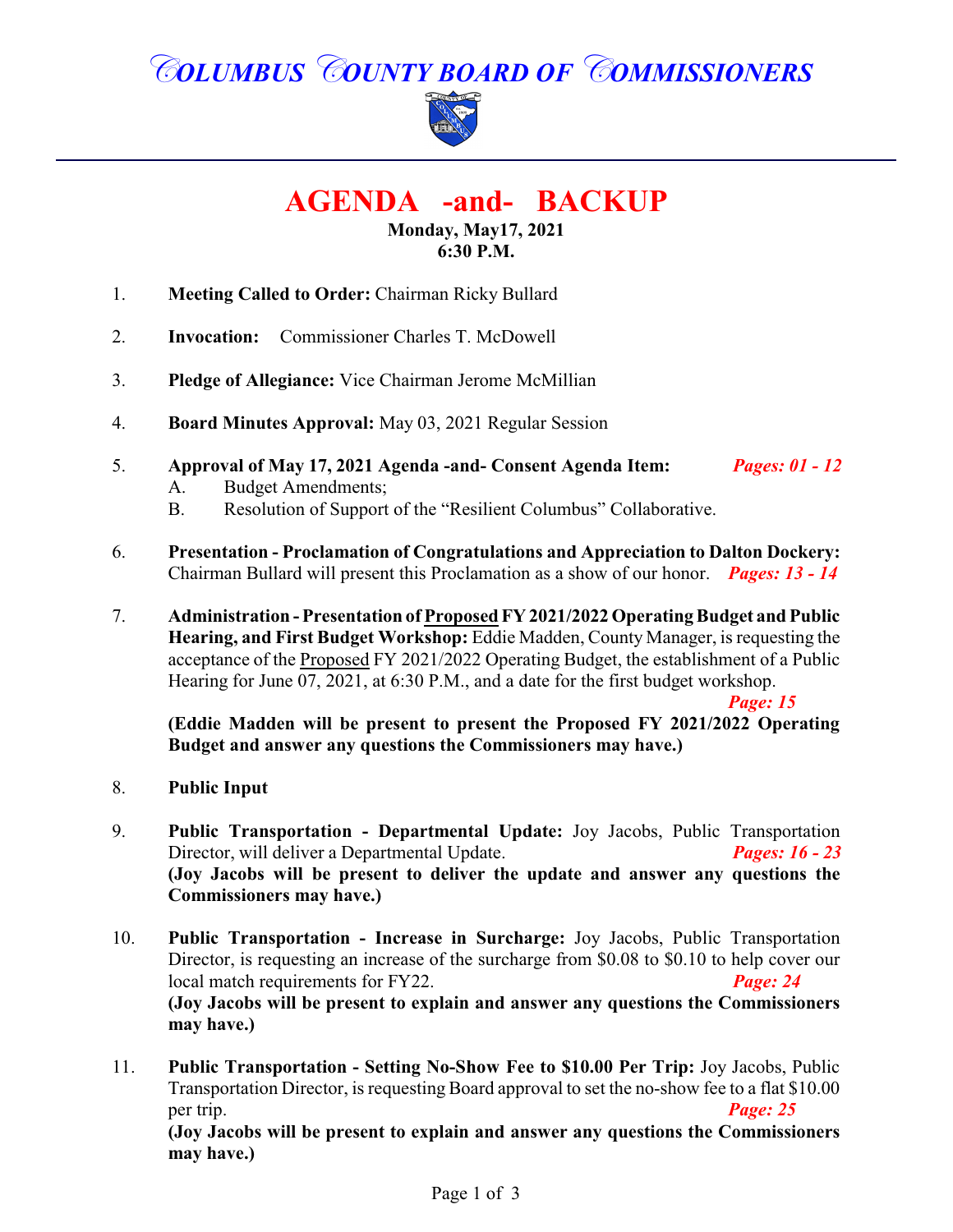# *COLUMBUS COUNTY BOARD OF COMMISSIONERS*



**AGENDA -and- BACKUP**

**Monday, May17, 2021 6:30 P.M.**

- 1. **Meeting Called to Order:** Chairman Ricky Bullard
- 2. **Invocation:** Commissioner Charles T. McDowell
- 3. **Pledge of Allegiance:** Vice Chairman Jerome McMillian
- 4. **Board Minutes Approval:** May 03, 2021 Regular Session
- 5. **Approval of May 17, 2021 Agenda -and- Consent Agenda Item:** *Pages: 01 12*
	- A. Budget Amendments;
	- B. Resolution of Support of the "Resilient Columbus" Collaborative.
- 6. **Presentation Proclamation of Congratulations and Appreciation to Dalton Dockery:** Chairman Bullard will present this Proclamation as a show of our honor. *Pages: 13 - 14*
- 7. **Administration Presentation of Proposed FY 2021/2022 Operating Budget and Public Hearing, and First Budget Workshop:** Eddie Madden, County Manager, is requesting the acceptance of the Proposed FY 2021/2022 Operating Budget, the establishment of a Public Hearing for June 07, 2021, at 6:30 P.M., and a date for the first budget workshop.

*Page: 15* 

**(Eddie Madden will be present to present the Proposed FY 2021/2022 Operating Budget and answer any questions the Commissioners may have.)**

- 8. **Public Input**
- 9. **Public Transportation Departmental Update:** Joy Jacobs, Public Transportation Director, will deliver a Departmental Update. *Pages: 16 - 23* **(Joy Jacobs will be present to deliver the update and answer any questions the Commissioners may have.)**
- 10. **Public Transportation Increase in Surcharge:** Joy Jacobs, Public Transportation Director, is requesting an increase of the surcharge from \$0.08 to \$0.10 to help cover our local match requirements for FY22. *Page: 24*  **(Joy Jacobs will be present to explain and answer any questions the Commissioners may have.)**
- 11. **Public Transportation - Setting No-Show Fee to \$10.00 Per Trip:** Joy Jacobs, Public Transportation Director, is requesting Board approval to set the no-show fee to a flat \$10.00 per trip. *Page: 25*

**(Joy Jacobs will be present to explain and answer any questions the Commissioners may have.)**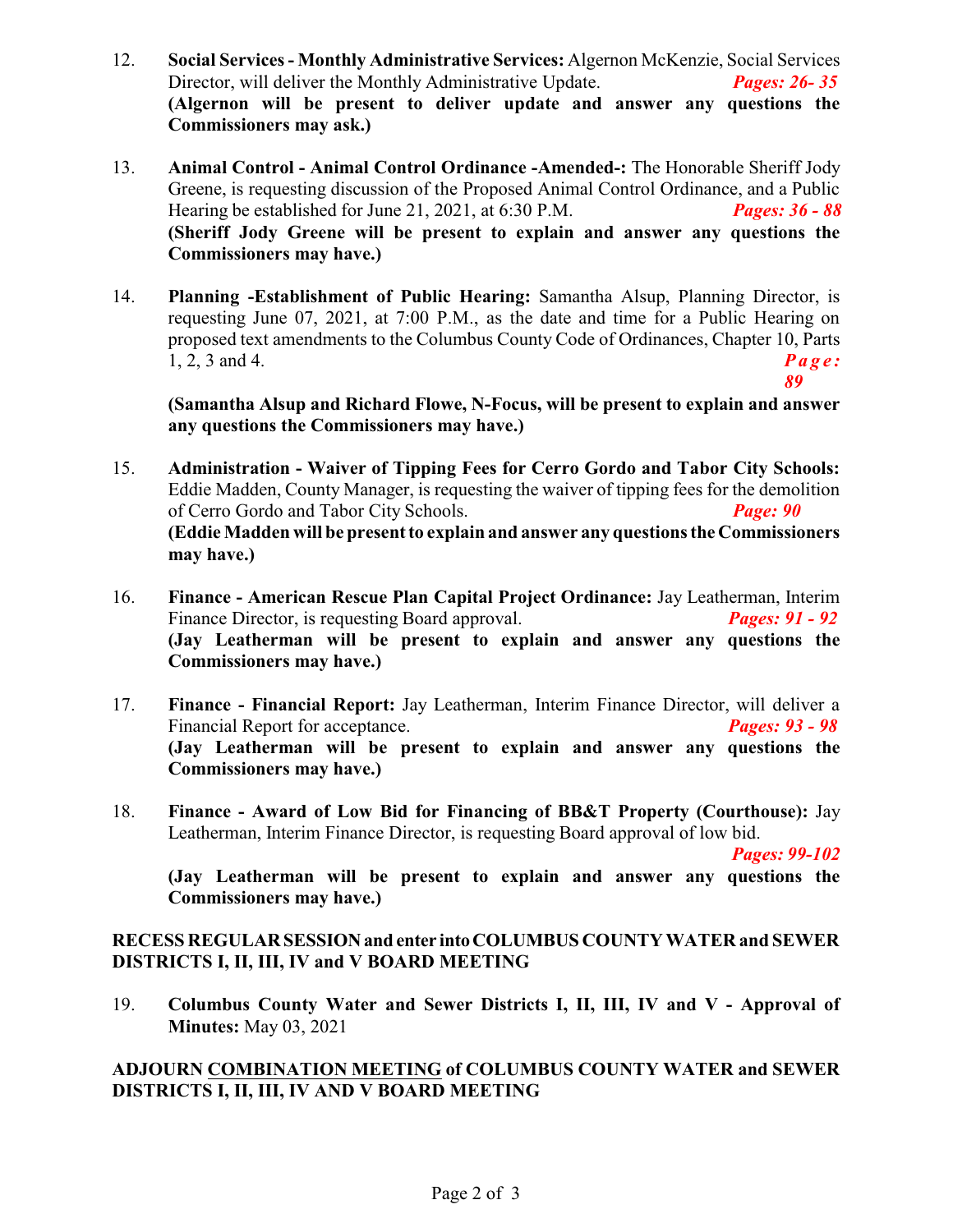- 12. **Social Services Monthly Administrative Services:** Algernon McKenzie, Social Services Director, will deliver the Monthly Administrative Update. *Pages: 26- 35* **(Algernon will be present to deliver update and answer any questions the Commissioners may ask.)**
- 13. **Animal Control Animal Control Ordinance -Amended-:** The Honorable Sheriff Jody Greene, is requesting discussion of the Proposed Animal Control Ordinance, and a Public Hearing be established for June 21, 2021, at 6:30 P.M. *Pages: 36 - 88* **(Sheriff Jody Greene will be present to explain and answer any questions the Commissioners may have.)**
- 14. **Planning -Establishment of Public Hearing:** Samantha Alsup, Planning Director, is requesting June 07, 2021, at 7:00 P.M., as the date and time for a Public Hearing on proposed text amendments to the Columbus County Code of Ordinances, Chapter 10, Parts  $1, 2, 3$  and 4.  $\boldsymbol{Page:}$

**(Samantha Alsup and Richard Flowe, N-Focus, will be present to explain and answer any questions the Commissioners may have.)**

- 15. **Administration Waiver of Tipping Fees for Cerro Gordo and Tabor City Schools:** Eddie Madden, County Manager, is requesting the waiver of tipping fees for the demolition of Cerro Gordo and Tabor City Schools. *Page: 90* **(Eddie Madden will be present to explain and answer any questions the Commissioners may have.)**
- 16. **Finance American Rescue Plan Capital Project Ordinance:** Jay Leatherman, Interim Finance Director, is requesting Board approval. *Pages: 91 - 92* **(Jay Leatherman will be present to explain and answer any questions the Commissioners may have.)**
- 17. **Finance - Financial Report:** Jay Leatherman, Interim Finance Director, will deliver a Financial Report for acceptance. *Pages: 93 - 98* **(Jay Leatherman will be present to explain and answer any questions the Commissioners may have.)**
- 18. **Finance Award of Low Bid for Financing of BB&T Property (Courthouse):** Jay Leatherman, Interim Finance Director, is requesting Board approval of low bid.

*Pages: 99-102*

*89*

**(Jay Leatherman will be present to explain and answer any questions the Commissioners may have.)**

#### **RECESS REGULARSESSIONand enter intoCOLUMBUS COUNTY WATER and SEWER DISTRICTS I, II, III, IV and V BOARD MEETING**

19. **Columbus County Water and Sewer Districts I, II, III, IV and V - Approval of Minutes:** May 03, 2021

#### **ADJOURN COMBINATION MEETING of COLUMBUS COUNTY WATER and SEWER DISTRICTS I, II, III, IV AND V BOARD MEETING**